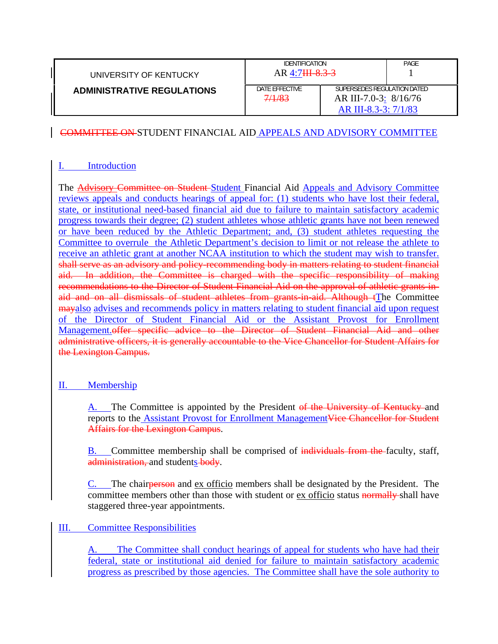| UNIVERSITY OF KENTUCKY            | <b>IDENTIFICATION</b><br>$AR$ 4:7 <del>III 8.3-3</del> |                                                                              | PAGE |
|-----------------------------------|--------------------------------------------------------|------------------------------------------------------------------------------|------|
| <b>ADMINISTRATIVE REGULATIONS</b> | DATE EFFECTIVE<br>7/1/83                               | SUPERSEDES REGULATION DATED<br>AR III-7.0-3: 8/16/76<br>AR III-8.3-3: 7/1/83 |      |

## COMMITTEE ON STUDENT FINANCIAL AID APPEALS AND ADVISORY COMMITTEE

## I. Introduction

The **Advisory Committee on Student-Student Financial Aid Appeals and Advisory Committee** reviews appeals and conducts hearings of appeal for: (1) students who have lost their federal, state, or institutional need-based financial aid due to failure to maintain satisfactory academic progress towards their degree; (2) student athletes whose athletic grants have not been renewed or have been reduced by the Athletic Department; and, (3) student athletes requesting the Committee to overrule the Athletic Department's decision to limit or not release the athlete to receive an athletic grant at another NCAA institution to which the student may wish to transfer. shall serve as an advisory and policy-recommending body in matters relating to student financial aid. In addition, the Committee is charged with the specific responsibility of making recommendations to the Director of Student Financial Aid on the approval of athletic grants-inaid and on all dismissals of student athletes from grants-in-aid. Although tThe Committee mayalso advises and recommends policy in matters relating to student financial aid upon request of the Director of Student Financial Aid or the Assistant Provost for Enrollment Management.offer specific advice to the Director of Student Financial Aid and other administrative officers, it is generally accountable to the Vice Chancellor for Student Affairs for the Lexington Campus.

## II. Membership

A. The Committee is appointed by the President of the University of Kentucky and reports to the **Assistant Provost for Enrollment Management Vice Chancellor for Student** Affairs for the Lexington Campus.

B. Committee membership shall be comprised of individuals from the faculty, staff, administration, and students body.

C. The chairperson and ex officio members shall be designated by the President. The committee members other than those with student or ex officio status normally shall have staggered three-year appointments.

## III. Committee Responsibilities

A. The Committee shall conduct hearings of appeal for students who have had their federal, state or institutional aid denied for failure to maintain satisfactory academic progress as prescribed by those agencies. The Committee shall have the sole authority to